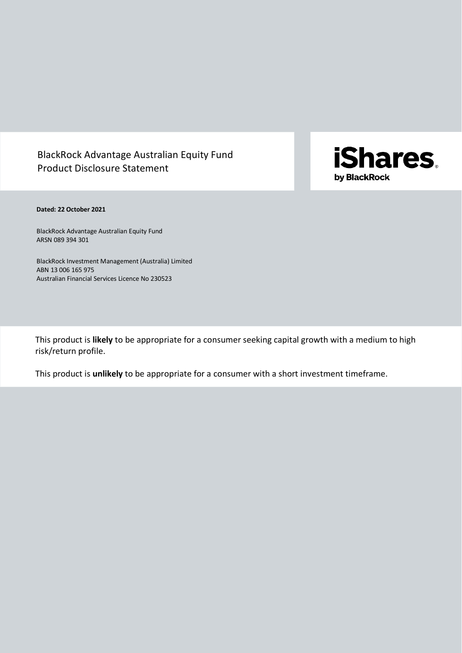# BlackRock Advantage Australian Equity Fund Product Disclosure Statement



# **Dated: 22 October 2021**

BlackRock Advantage Australian Equity Fund ARSN 089 394 301

BlackRock Investment Management (Australia) Limited ABN 13 006 165 975 Australian Financial Services Licence No 230523

This product is **likely** to be appropriate for a consumer seeking capital growth with a medium to high risk/return profile.

This product is **unlikely** to be appropriate for a consumer with a short investment timeframe.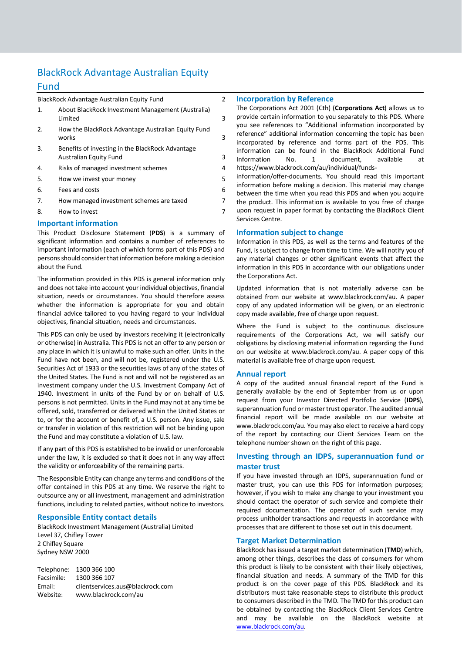# BlackRock Advantage Australian Equity

# <span id="page-1-0"></span>Fund

# [BlackRock Advantage Australian Equity Fund](#page-1-0) 2

| $\mathbf{1}$                 | About BlackRock Investment Management (Australia)<br>Limited | 3 |  |  |
|------------------------------|--------------------------------------------------------------|---|--|--|
| 2.                           | How the BlackRock Advantage Australian Equity Fund<br>works  | 3 |  |  |
| 3.                           | Benefits of investing in the BlackRock Advantage             |   |  |  |
|                              | <b>Australian Equity Fund</b>                                | 3 |  |  |
| 4.                           | Risks of managed investment schemes                          | 4 |  |  |
| 5.                           | How we invest your money                                     | 5 |  |  |
| 6.                           | Fees and costs                                               | 6 |  |  |
| 7.                           | How managed investment schemes are taxed                     | 7 |  |  |
| 8.                           | How to invest                                                | 7 |  |  |
| <b>Important information</b> |                                                              |   |  |  |

This Product Disclosure Statement (**PDS**) is a summary of significant information and contains a number of references to important information (each of which forms part of this PDS) and persons should consider that information before making a decision about the Fund.

The information provided in this PDS is general information only and does not take into account your individual objectives, financial situation, needs or circumstances. You should therefore assess whether the information is appropriate for you and obtain financial advice tailored to you having regard to your individual objectives, financial situation, needs and circumstances.

This PDS can only be used by investors receiving it (electronically or otherwise) in Australia. This PDS is not an offer to any person or any place in which it is unlawful to make such an offer. Units in the Fund have not been, and will not be, registered under the U.S. Securities Act of 1933 or the securities laws of any of the states of the United States. The Fund is not and will not be registered as an investment company under the U.S. Investment Company Act of 1940. Investment in units of the Fund by or on behalf of U.S. persons is not permitted. Units in the Fund may not at any time be offered, sold, transferred or delivered within the United States or to, or for the account or benefit of, a U.S. person. Any issue, sale or transfer in violation of this restriction will not be binding upon the Fund and may constitute a violation of U.S. law.

If any part of this PDS is established to be invalid or unenforceable under the law, it is excluded so that it does not in any way affect the validity or enforceability of the remaining parts.

The Responsible Entity can change any terms and conditions of the offer contained in this PDS at any time. We reserve the right to outsource any or all investment, management and administration functions, including to related parties, without notice to investors.

# **Responsible Entity contact details**

BlackRock Investment Management (Australia) Limited Level 37, Chifley Tower 2 Chifley Square Sydney NSW 2000

Telephone: 1300 366 100 Facsimile: 1300 366 107 Email: clientservices.aus@blackrock.com Website: www.blackrock.com/au

## **Incorporation by Reference**

The Corporations Act 2001 (Cth) (**Corporations Act**) allows us to provide certain information to you separately to this PDS. Where you see references to "Additional information incorporated by reference" additional information concerning the topic has been incorporated by reference and forms part of the PDS. This information can be found in the BlackRock Additional Fund Information No. 1 document, available at [https://www.blackrock.com/au/individual/funds-](https://www.blackrock.com/au/individual/funds-information/offer-documents)

[information/offer-documents.](https://www.blackrock.com/au/individual/funds-information/offer-documents) You should read this important information before making a decision. This material may change between the time when you read this PDS and when you acquire the product. This information is available to you free of charge upon request in paper format by contacting the BlackRock Client Services Centre.

# **Information subject to change**

Information in this PDS, as well as the terms and features of the Fund, is subject to change from time to time. We will notify you of any material changes or other significant events that affect the information in this PDS in accordance with our obligations under the Corporations Act.

Updated information that is not materially adverse can be obtained from our website at www.blackrock.com/au. A paper copy of any updated information will be given, or an electronic copy made available, free of charge upon request.

Where the Fund is subject to the continuous disclosure requirements of the Corporations Act, we will satisfy our obligations by disclosing material information regarding the Fund on our website at www.blackrock.com/au. A paper copy of this material is available free of charge upon request.

# **Annual report**

A copy of the audited annual financial report of the Fund is generally available by the end of September from us or upon request from your Investor Directed Portfolio Service (**IDPS**), superannuation fund or master trust operator. The audited annual financial report will be made available on our website at www.blackrock.com/au. You may also elect to receive a hard copy of the report by contacting our Client Services Team on the telephone number shown on the right of this page.

# **Investing through an IDPS, superannuation fund or master trust**

If you have invested through an IDPS, superannuation fund or master trust, you can use this PDS for information purposes; however, if you wish to make any change to your investment you should contact the operator of such service and complete their required documentation. The operator of such service may process unitholder transactions and requests in accordance with processes that are different to those set out in this document.

# **Target Market Determination**

BlackRock has issued a target market determination (**TMD**) which, among other things, describes the class of consumers for whom this product is likely to be consistent with their likely objectives, financial situation and needs. A summary of the TMD for this product is on the cover page of this PDS. BlackRock and its distributors must take reasonable steps to distribute this product to consumers described in the TMD. The TMD for this product can be obtained by contacting the BlackRock Client Services Centre and may be available on the BlackRock website at [www.blackrock.com/au.](http://www.blackrock.com.au/)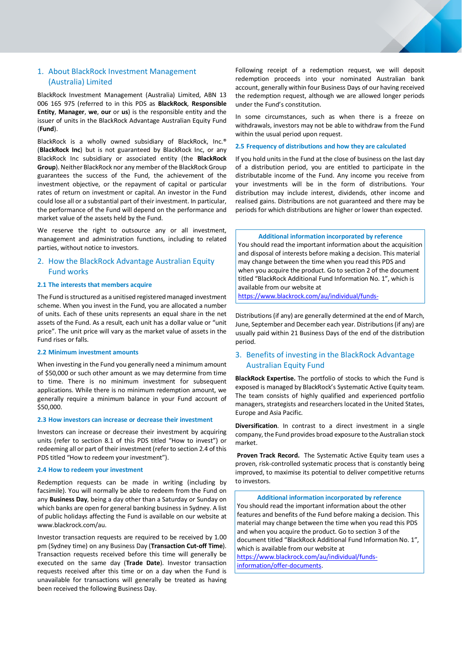# <span id="page-2-0"></span>1. About BlackRock Investment Management (Australia) Limited

BlackRock Investment Management (Australia) Limited, ABN 13 006 165 975 (referred to in this PDS as **BlackRock**, **Responsible Entity**, **Manager**, **we**, **our** or **us**) is the responsible entity and the issuer of units in the BlackRock Advantage Australian Equity Fund (**Fund**).

BlackRock is a wholly owned subsidiary of BlackRock, Inc.® (**BlackRock Inc**) but is not guaranteed by BlackRock Inc, or any BlackRock Inc subsidiary or associated entity (the **BlackRock Group**). Neither BlackRock nor any member of the BlackRock Group guarantees the success of the Fund, the achievement of the investment objective, or the repayment of capital or particular rates of return on investment or capital. An investor in the Fund could lose all or a substantial part of their investment. In particular, the performance of the Fund will depend on the performance and market value of the assets held by the Fund.

We reserve the right to outsource any or all investment, management and administration functions, including to related parties, without notice to investors.

# <span id="page-2-1"></span>2. How the BlackRock Advantage Australian Equity Fund works

### **2.1 The interests that members acquire**

The Fund is structured as a unitised registered managed investment scheme. When you invest in the Fund, you are allocated a number of units. Each of these units represents an equal share in the net assets of the Fund. As a result, each unit has a dollar value or "unit price". The unit price will vary as the market value of assets in the Fund rises or falls.

### **2.2 Minimum investment amounts**

When investing in the Fund you generally need a minimum amount of \$50,000 or such other amount as we may determine from time to time. There is no minimum investment for subsequent applications. While there is no minimum redemption amount, we generally require a minimum balance in your Fund account of \$50,000.

## **2.3 How investors can increase or decrease their investment**

Investors can increase or decrease their investment by acquiring units (refer to section 8.1 of this PDS titled "How to invest") or redeeming all or part of their investment(refer to section 2.4 of this PDS titled "How to redeem your investment").

## **2.4 How to redeem your investment**

Redemption requests can be made in writing (including by facsimile). You will normally be able to redeem from the Fund on any **Business Day**, being a day other than a Saturday or Sunday on which banks are open for general banking business in Sydney. A list of public holidays affecting the Fund is available on our website at www.blackrock.com/au.

Investor transaction requests are required to be received by 1.00 pm (Sydney time) on any Business Day (**Transaction Cut-off Time**). Transaction requests received before this time will generally be executed on the same day (**Trade Date**). Investor transaction requests received after this time or on a day when the Fund is unavailable for transactions will generally be treated as having been received the following Business Day.

Following receipt of a redemption request, we will deposit redemption proceeds into your nominated Australian bank account, generally within four Business Days of our having received the redemption request, although we are allowed longer periods under the Fund's constitution.

In some circumstances, such as when there is a freeze on withdrawals, investors may not be able to withdraw from the Fund within the usual period upon request.

#### **2.5 Frequency of distributions and how they are calculated**

If you hold units in the Fund at the close of business on the last day of a distribution period, you are entitled to participate in the distributable income of the Fund. Any income you receive from your investments will be in the form of distributions. Your distribution may include interest, dividends, other income and realised gains. Distributions are not guaranteed and there may be periods for which distributions are higher or lower than expected.

#### **Additional information incorporated by reference**

You should read the important information about the acquisition and disposal of interests before making a decision. This material may change between the time when you read this PDS and when you acquire the product. Go to section 2 of the document titled "BlackRock Additional Fund Information No. 1", which is available from our website at

[https://www.blackrock.com/au/individual/funds-](https://www.blackrock.com/au/individual/funds-information/offer-documents)

Distributions (if any) are generally determined at the end of March, June, September and December each year. Distributions(if any) are usually paid within 21 Business Days of the end of the distribution period.

# <span id="page-2-2"></span>3. Benefits of investing in the BlackRock Advantage Australian Equity Fund

**BlackRock Expertise.** The portfolio of stocks to which the Fund is exposed is managed by BlackRock's Systematic Active Equity team. The team consists of highly qualified and experienced portfolio managers, strategists and researchers located in the United States, Europe and Asia Pacific.

**Diversification**. In contrast to a direct investment in a single company, the Fund provides broad exposure to the Australian stock market.

**Proven Track Record.** The Systematic Active Equity team uses a proven, risk-controlled systematic process that is constantly being improved, to maximise its potential to deliver competitive returns to investors.

**Additional information incorporated by reference** You should read the important information about the other features and benefits of the Fund before making a decision. This material may change between the time when you read this PDS and when you acquire the product. Go to section 3 of the document titled "BlackRock Additional Fund Information No. 1", which is available from our website at

[https://www.blackrock.com/au/individual/funds](https://www.blackrock.com/au/individual/funds-information/offer-documents)[information/offer-documents.](https://www.blackrock.com/au/individual/funds-information/offer-documents)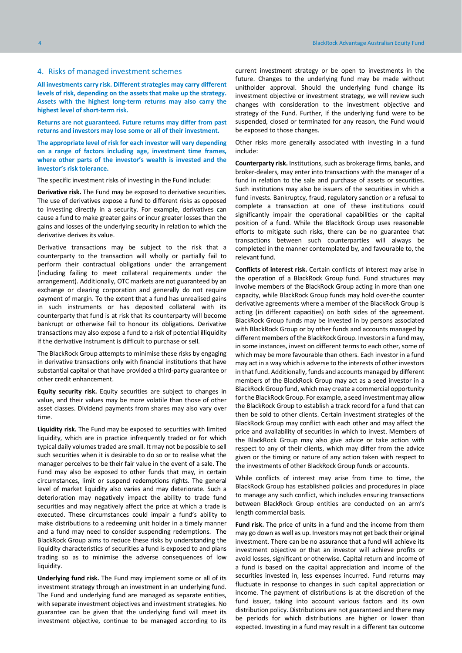#### <span id="page-3-0"></span>4. Risks of managed investment schemes

**All investments carry risk. Different strategies may carry different levels of risk, depending on the assets that make up the strategy. Assets with the highest long-term returns may also carry the highest level of short-term risk.**

**Returns are not guaranteed. Future returns may differ from past returns and investors may lose some or all of their investment.** 

**The appropriate level of risk for each investor will vary depending on a range of factors including age, investment time frames, where other parts of the investor's wealth is invested and the investor's risk tolerance.**

The specific investment risks of investing in the Fund include:

**Derivative risk.** The Fund may be exposed to derivative securities. The use of derivatives expose a fund to different risks as opposed to investing directly in a security. For example, derivatives can cause a fund to make greater gains or incur greater losses than the gains and losses of the underlying security in relation to which the derivative derives its value.

Derivative transactions may be subject to the risk that a counterparty to the transaction will wholly or partially fail to perform their contractual obligations under the arrangement (including failing to meet collateral requirements under the arrangement). Additionally, OTC markets are not guaranteed by an exchange or clearing corporation and generally do not require payment of margin. To the extent that a fund has unrealised gains in such instruments or has deposited collateral with its counterparty that fund is at risk that its counterparty will become bankrupt or otherwise fail to honour its obligations. Derivative transactions may also expose a fund to a risk of potential illiquidity if the derivative instrument is difficult to purchase or sell.

The BlackRock Group attempts to minimise these risks by engaging in derivative transactions only with financial institutions that have substantial capital or that have provided a third-party guarantee or other credit enhancement.

**Equity security risk.** Equity securities are subject to changes in value, and their values may be more volatile than those of other asset classes. Dividend payments from shares may also vary over time.

**Liquidity risk.** The Fund may be exposed to securities with limited liquidity, which are in practice infrequently traded or for which typical daily volumes traded are small. It may not be possible to sell such securities when it is desirable to do so or to realise what the manager perceives to be their fair value in the event of a sale. The Fund may also be exposed to other funds that may, in certain circumstances, limit or suspend redemptions rights. The general level of market liquidity also varies and may deteriorate. Such a deterioration may negatively impact the ability to trade fund securities and may negatively affect the price at which a trade is executed. These circumstances could impair a fund's ability to make distributions to a redeeming unit holder in a timely manner and a fund may need to consider suspending redemptions. The BlackRock Group aims to reduce these risks by understanding the liquidity characteristics of securities a fund is exposed to and plans trading so as to minimise the adverse consequences of low liquidity.

**Underlying fund risk.** The Fund may implement some or all of its investment strategy through an investment in an underlying fund. The Fund and underlying fund are managed as separate entities, with separate investment objectives and investment strategies. No guarantee can be given that the underlying fund will meet its investment objective, continue to be managed according to its

current investment strategy or be open to investments in the future. Changes to the underlying fund may be made without unitholder approval. Should the underlying fund change its investment objective or investment strategy, we will review such changes with consideration to the investment objective and strategy of the Fund. Further, if the underlying fund were to be suspended, closed or terminated for any reason, the Fund would be exposed to those changes.

Other risks more generally associated with investing in a fund include:

**Counterparty risk.** Institutions, such as brokerage firms, banks, and broker-dealers, may enter into transactions with the manager of a fund in relation to the sale and purchase of assets or securities. Such institutions may also be issuers of the securities in which a fund invests. Bankruptcy, fraud, regulatory sanction or a refusal to complete a transaction at one of these institutions could significantly impair the operational capabilities or the capital position of a fund. While the BlackRock Group uses reasonable efforts to mitigate such risks, there can be no guarantee that transactions between such counterparties will always be completed in the manner contemplated by, and favourable to, the relevant fund.

**Conflicts of interest risk.** Certain conflicts of interest may arise in the operation of a BlackRock Group fund. Fund structures may involve members of the BlackRock Group acting in more than one capacity, while BlackRock Group funds may hold over-the counter derivative agreements where a member of the BlackRock Group is acting (in different capacities) on both sides of the agreement. BlackRock Group funds may be invested in by persons associated with BlackRock Group or by other funds and accounts managed by different members of the BlackRock Group. Investors in a fund may, in some instances, invest on different terms to each other, some of which may be more favourable than others. Each investor in a fund may act in a way which is adverse to the interests of other investors in that fund. Additionally, funds and accounts managed by different members of the BlackRock Group may act as a seed investor in a BlackRock Group fund, which may create a commercial opportunity for the BlackRock Group. For example, a seed investment may allow the BlackRock Group to establish a track record for a fund that can then be sold to other clients. Certain investment strategies of the BlackRock Group may conflict with each other and may affect the price and availability of securities in which to invest. Members of the BlackRock Group may also give advice or take action with respect to any of their clients, which may differ from the advice given or the timing or nature of any action taken with respect to the investments of other BlackRock Group funds or accounts.

While conflicts of interest may arise from time to time, the BlackRock Group has established policies and procedures in place to manage any such conflict, which includes ensuring transactions between BlackRock Group entities are conducted on an arm's length commercial basis.

**Fund risk.** The price of units in a fund and the income from them may go down as well as up. Investors may not get back their original investment. There can be no assurance that a fund will achieve its investment objective or that an investor will achieve profits or avoid losses, significant or otherwise. Capital return and income of a fund is based on the capital appreciation and income of the securities invested in, less expenses incurred. Fund returns may fluctuate in response to changes in such capital appreciation or income. The payment of distributions is at the discretion of the fund issuer, taking into account various factors and its own distribution policy. Distributions are not guaranteed and there may be periods for which distributions are higher or lower than expected. Investing in a fund may result in a different tax outcome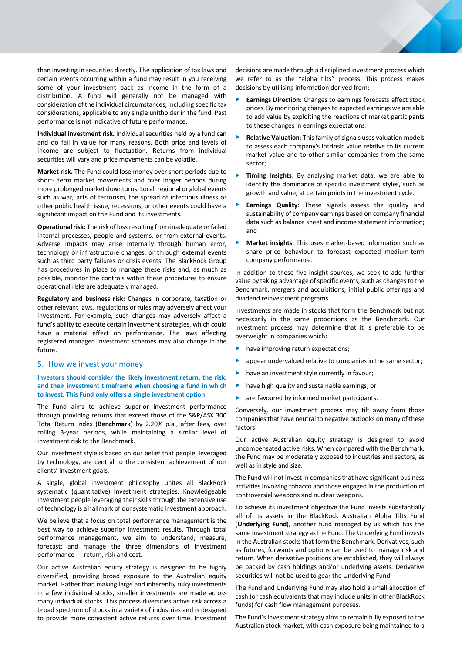than investing in securities directly. The application of tax laws and certain events occurring within a fund may result in you receiving some of your investment back as income in the form of a distribution. A fund will generally not be managed with consideration of the individual circumstances, including specific tax considerations, applicable to any single unitholder in the fund. Past performance is not indicative of future performance.

**Individual investment risk.** Individual securities held by a fund can and do fall in value for many reasons. Both price and levels of income are subject to fluctuation. Returns from individual securities will vary and price movements can be volatile.

**Market risk.** The Fund could lose money over short periods due to short- term market movements and over longer periods during more prolonged market downturns. Local, regional or global events such as war, acts of terrorism, the spread of infectious illness or other public health issue, recessions, or other events could have a significant impact on the Fund and its investments.

**Operational risk:** The risk of loss resulting from inadequate or failed internal processes, people and systems, or from external events. Adverse impacts may arise internally through human error, technology or infrastructure changes, or through external events such as third party failures or crisis events. The BlackRock Group has procedures in place to manage these risks and, as much as possible, monitor the controls within these procedures to ensure operational risks are adequately managed.

**Regulatory and business risk:** Changes in corporate, taxation or other relevant laws, regulations or rules may adversely affect your investment. For example, such changes may adversely affect a fund's ability to execute certain investment strategies, which could have a material effect on performance. The laws affecting registered managed investment schemes may also change in the future.

# <span id="page-4-0"></span>5. How we invest your money

**Investors should consider the likely investment return, the risk, and their investment timeframe when choosing a fund in which to invest. This Fund only offers a single investment option.**

The Fund aims to achieve superior investment performance through providing returns that exceed those of the S&P/ASX 300 Total Return Index (**Benchmark**) by 2.20% p.a., after fees, over rolling 3-year periods, while maintaining a similar level of investment risk to the Benchmark.

Our investment style is based on our belief that people, leveraged by technology, are central to the consistent achievement of our clients' investment goals.

A single, global investment philosophy unites all BlackRock systematic (quantitative) investment strategies. Knowledgeable investment people leveraging their skills through the extensive use of technology is a hallmark of our systematic investment approach.

We believe that a focus on total performance management is the best way to achieve superior investment results. Through total performance management, we aim to understand; measure; forecast; and manage the three dimensions of investment performance — return, risk and cost.

Our active Australian equity strategy is designed to be highly diversified, providing broad exposure to the Australian equity market. Rather than making large and inherently risky investments in a few individual stocks, smaller investments are made across many individual stocks. This process diversifies active risk across a broad spectrum of stocks in a variety of industries and is designed to provide more consistent active returns over time. Investment decisions are made through a disciplined investment process which we refer to as the "alpha tilts" process. This process makes decisions by utilising information derived from:

- **Earnings Direction:** Changes to earnings forecasts affect stock prices. By monitoring changes to expected earnings we are able to add value by exploiting the reactions of market participants to these changes in earnings expectations;
- ► **Relative Valuation**: This family of signals uses valuation models to assess each company's intrinsic value relative to its current market value and to other similar companies from the same sector;
- Timing Insights: By analysing market data, we are able to identify the dominance of specific investment styles, such as growth and value, at certain points in the investment cycle.
- **Earnings Quality:** These signals assess the quality and sustainability of company earnings based on company financial data such as balance sheet and income statement information; and
- **Market insights:** This uses market-based information such as share price behaviour to forecast expected medium-term company performance.

In addition to these five insight sources, we seek to add further value by taking advantage of specific events, such as changes to the Benchmark, mergers and acquisitions, initial public offerings and dividend reinvestment programs.

Investments are made in stocks that form the Benchmark but not necessarily in the same proportions as the Benchmark. Our investment process may determine that it is preferable to be overweight in companies which:

- have improving return expectations:
- appear undervalued relative to companies in the same sector;
- have an investment style currently in favour;
- ► have high quality and sustainable earnings; or
- ► are favoured by informed market participants.

Conversely, our investment process may tilt away from those companies that have neutral to negative outlooks on many of these factors.

Our active Australian equity strategy is designed to avoid uncompensated active risks. When compared with the Benchmark, the Fund may be moderately exposed to industries and sectors, as well as in style and size.

The Fund will not invest in companies that have significant business activities involving tobacco and those engaged in the production of controversial weapons and nuclear weapons.

To achieve its investment objective the Fund invests substantially all of its assets in the BlackRock Australian Alpha Tilts Fund (**Underlying Fund**), another fund managed by us which has the same investment strategy as the Fund. The Underlying Fund invests in the Australian stocks that form the Benchmark. Derivatives, such as futures, forwards and options can be used to manage risk and return. When derivative positions are established, they will always be backed by cash holdings and/or underlying assets. Derivative securities will not be used to gear the Underlying Fund.

The Fund and Underlying Fund may also hold a small allocation of cash (or cash equivalents that may include units in other BlackRock funds) for cash flow management purposes.

The Fund's investment strategy aims to remain fully exposed to the Australian stock market, with cash exposure being maintained to a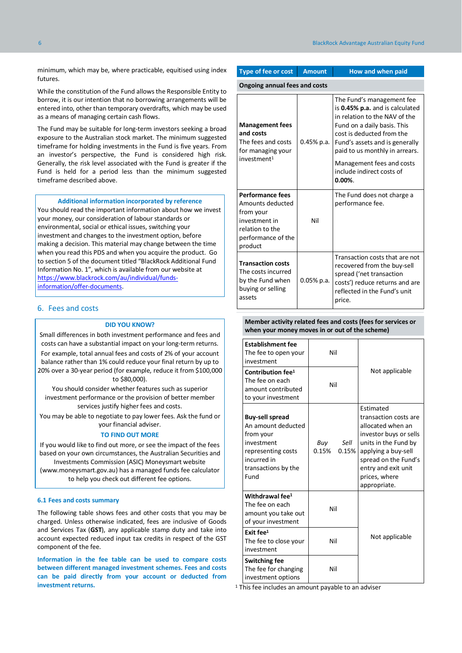minimum, which may be, where practicable, equitised using index futures.

While the constitution of the Fund allows the Responsible Entity to borrow, it is our intention that no borrowing arrangements will be entered into, other than temporary overdrafts, which may be used as a means of managing certain cash flows.

The Fund may be suitable for long-term investors seeking a broad exposure to the Australian stock market. The minimum suggested timeframe for holding investments in the Fund is five years. From an investor's perspective, the Fund is considered high risk. Generally, the risk level associated with the Fund is greater if the Fund is held for a period less than the minimum suggested timeframe described above.

#### **Additional information incorporated by reference**

You should read the important information about how we invest your money, our consideration of labour standards or environmental, social or ethical issues, switching your investment and changes to the investment option, before making a decision. This material may change between the time when you read this PDS and when you acquire the product. Go to section 5 of the document titled "BlackRock Additional Fund Information No. 1", which is available from our website at [https://www.blackrock.com/au/individual/funds](https://www.blackrock.com/au/individual/funds-information/offer-documents)[information/offer-documents.](https://www.blackrock.com/au/individual/funds-information/offer-documents)

#### <span id="page-5-0"></span>6. Fees and costs

#### **DID YOU KNOW?**

Small differences in both investment performance and fees and costs can have a substantial impact on your long-term returns.

For example, total annual fees and costs of 2% of your account balance rather than 1% could reduce your final return by up to 20% over a 30-year period (for example, reduce it from \$100,000

# to \$80,000).

You should consider whether features such as superior investment performance or the provision of better member services justify higher fees and costs.

You may be able to negotiate to pay lower fees. Ask the fund or your financial adviser.

#### **TO FIND OUT MORE**

If you would like to find out more, or see the impact of the fees based on your own circumstances, the Australian Securities and Investments Commission (ASIC) Moneysmart website

(www.moneysmart.gov.au) has a managed funds fee calculator to help you check out different fee options.

#### **6.1 Fees and costs summary**

The following table shows fees and other costs that you may be charged. Unless otherwise indicated, fees are inclusive of Goods and Services Tax (**GST**), any applicable stamp duty and take into account expected reduced input tax credits in respect of the GST component of the fee.

**Information in the fee table can be used to compare costs between different managed investment schemes. Fees and costs can be paid directly from your account or deducted from investment returns.** This fee includes an amount payable to an adviser

| <b>Type of fee or cost</b>                                                                                                    | <b>Amount</b> | How and when paid                                                                                                                                                                                                                                                                                     |  |  |  |  |
|-------------------------------------------------------------------------------------------------------------------------------|---------------|-------------------------------------------------------------------------------------------------------------------------------------------------------------------------------------------------------------------------------------------------------------------------------------------------------|--|--|--|--|
| <b>Ongoing annual fees and costs</b>                                                                                          |               |                                                                                                                                                                                                                                                                                                       |  |  |  |  |
| <b>Management fees</b><br>and costs<br>The fees and costs<br>for managing your<br>investment <sup>1</sup>                     | $0.45%$ p.a.  | The Fund's management fee<br>is 0.45% p.a. and is calculated<br>in relation to the NAV of the<br>Fund on a daily basis. This<br>cost is deducted from the<br>Fund's assets and is generally<br>paid to us monthly in arrears.<br>Management fees and costs<br>include indirect costs of<br>$0.00\%$ . |  |  |  |  |
| <b>Performance fees</b><br>Amounts deducted<br>from your<br>investment in<br>relation to the<br>performance of the<br>product | Nil           | The Fund does not charge a<br>performance fee.                                                                                                                                                                                                                                                        |  |  |  |  |
| <b>Transaction costs</b><br>The costs incurred<br>by the Fund when<br>buying or selling<br>assets                             | $0.05%$ p.a.  | Transaction costs that are not<br>recovered from the buy-sell<br>spread ('net transaction<br>costs') reduce returns and are<br>reflected in the Fund's unit<br>price.                                                                                                                                 |  |  |  |  |

#### **Member activity related fees and costs (fees for services or when your money moves in or out of the scheme)**

| <b>Establishment fee</b><br>The fee to open your<br>investment                                                                              | Nil                           |                                                                                                                                                                                                                  |
|---------------------------------------------------------------------------------------------------------------------------------------------|-------------------------------|------------------------------------------------------------------------------------------------------------------------------------------------------------------------------------------------------------------|
| Contribution fee <sup>1</sup><br>The fee on each<br>amount contributed<br>to your investment                                                | Nil                           | Not applicable                                                                                                                                                                                                   |
| <b>Buy-sell spread</b><br>An amount deducted<br>from your<br>investment<br>representing costs<br>incurred in<br>transactions by the<br>Fund | Sell<br>Buy<br>0.15%<br>0.15% | Estimated<br>transaction costs are<br>allocated when an<br>investor buys or sells<br>units in the Fund by<br>applying a buy-sell<br>spread on the Fund's<br>entry and exit unit<br>prices, where<br>appropriate. |
| Withdrawal fee <sup>1</sup><br>The fee on each<br>amount you take out<br>of your investment                                                 | Nil                           |                                                                                                                                                                                                                  |
| Exit $fee1$<br>The fee to close your<br>investment                                                                                          | Nil                           | Not applicable                                                                                                                                                                                                   |
| <b>Switching fee</b><br>The fee for changing<br>investment options                                                                          | Nil                           |                                                                                                                                                                                                                  |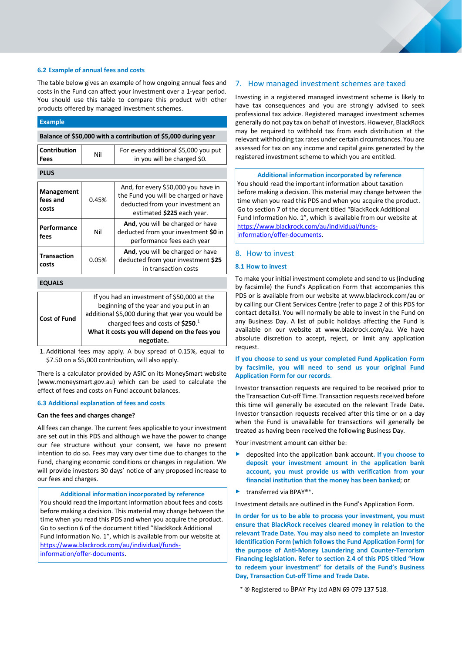#### **6.2 Example of annual fees and costs**

The table below gives an example of how ongoing annual fees and costs in the Fund can affect your investment over a 1-year period. You should use this table to compare this product with other products offered by managed investment schemes.

| <b>Example</b>                                                 |                                                                                        |                                                                                                                                               |  |  |
|----------------------------------------------------------------|----------------------------------------------------------------------------------------|-----------------------------------------------------------------------------------------------------------------------------------------------|--|--|
| Balance of \$50,000 with a contribution of \$5,000 during year |                                                                                        |                                                                                                                                               |  |  |
| Contribution<br>Fees                                           | Nil                                                                                    | For every additional \$5,000 you put<br>in you will be charged \$0.                                                                           |  |  |
| <b>PLUS</b>                                                    |                                                                                        |                                                                                                                                               |  |  |
| Management<br>fees and<br>costs                                | 0.45%                                                                                  | And, for every \$50,000 you have in<br>the Fund you will be charged or have<br>deducted from your investment an<br>estimated \$225 each year. |  |  |
| Performance<br>fees                                            | Nil                                                                                    | And, you will be charged or have<br>deducted from your investment \$0 in<br>performance fees each year                                        |  |  |
| <b>Transaction</b><br>costs                                    | 0.05%                                                                                  | And, you will be charged or have<br>deducted from your investment \$25<br>in transaction costs                                                |  |  |
| <b>EQUALS</b>                                                  |                                                                                        |                                                                                                                                               |  |  |
|                                                                | If you had an investment of \$50,000 at the<br>beginning of the year and you put in an |                                                                                                                                               |  |  |

|                     | negotiate.                                       |
|---------------------|--------------------------------------------------|
|                     | What it costs you will depend on the fees you    |
|                     | charged fees and costs of $$250.1$               |
| <b>Cost of Fund</b> | additional \$5,000 during that year you would be |
|                     | beginning of the year and you put in an          |

1. Additional fees may apply. A buy spread of 0.15%, equal to \$7.50 on a \$5,000 contribution, will also apply.

There is a calculator provided by ASIC on its MoneySmart website (www.moneysmart.gov.au) which can be used to calculate the effect of fees and costs on Fund account balances.

## **6.3 Additional explanation of fees and costs**

#### **Can the fees and charges change?**

All fees can change. The current fees applicable to your investment are set out in this PDS and although we have the power to change our fee structure without your consent, we have no present intention to do so. Fees may vary over time due to changes to the Fund, changing economic conditions or changes in regulation. We will provide investors 30 days' notice of any proposed increase to our fees and charges.

**Additional information incorporated by reference** You should read the important information about fees and costs before making a decision. This material may change between the time when you read this PDS and when you acquire the product. Go to section 6 of the document titled "BlackRock Additional Fund Information No. 1", which is available from our website at [https://www.blackrock.com/au/individual/funds](https://www.blackrock.com/au/individual/funds-information/offer-documents)[information/offer-documents.](https://www.blackrock.com/au/individual/funds-information/offer-documents)

# <span id="page-6-0"></span>7. How managed investment schemes are taxed

Investing in a registered managed investment scheme is likely to have tax consequences and you are strongly advised to seek professional tax advice. Registered managed investment schemes generally do not pay tax on behalf of investors. However, BlackRock may be required to withhold tax from each distribution at the relevant withholding tax rates under certain circumstances. You are assessed for tax on any income and capital gains generated by the registered investment scheme to which you are entitled.

## **Additional information incorporated by reference**

You should read the important information about taxation before making a decision. This material may change between the time when you read this PDS and when you acquire the product. Go to section 7 of the document titled "BlackRock Additional Fund Information No. 1", which is available from our website at [https://www.blackrock.com/au/individual/funds](https://www.blackrock.com/au/individual/funds-information/offer-documents)[information/offer-documents.](https://www.blackrock.com/au/individual/funds-information/offer-documents)

# <span id="page-6-1"></span>8. How to invest

# **8.1 How to invest**

To make your initial investment complete and send to us (including by facsimile) the Fund's Application Form that accompanies this PDS or is available from our website at www.blackrock.com/au or by calling our Client Services Centre (refer to page 2 of this PDS for contact details). You will normally be able to invest in the Fund on any Business Day. A list of public holidays affecting the Fund is available on our website at www.blackrock.com/au. We have absolute discretion to accept, reject, or limit any application request.

## **If you choose to send us your completed Fund Application Form by facsimile, you will need to send us your original Fund Application Form for our records**.

Investor transaction requests are required to be received prior to the Transaction Cut-off Time. Transaction requests received before this time will generally be executed on the relevant Trade Date. Investor transaction requests received after this time or on a day when the Fund is unavailable for transactions will generally be treated as having been received the following Business Day.

Your investment amount can either be:

- ► deposited into the application bank account**. If you choose to deposit your investment amount in the application bank account, you must provide us with verification from your financial institution that the money has been banked**; or
- ► transferred via BPAY®\*.

Investment details are outlined in the Fund's Application Form.

**In order for us to be able to process your investment, you must ensure that BlackRock receives cleared money in relation to the relevant Trade Date. You may also need to complete an Investor Identification Form (which follows the Fund Application Form) for the purpose of Anti-Money Laundering and Counter-Terrorism Financing legislation. Refer to section 2.4 of this PDS titled "How to redeem your investment" for details of the Fund's Business Day, Transaction Cut-off Time and Trade Date.**

\* ® Registered to BPAY Pty Ltd ABN 69 079 137 518.